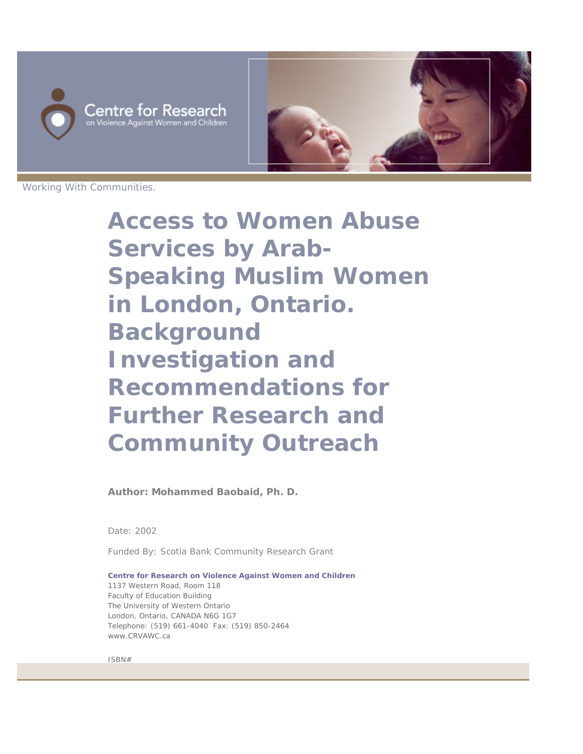



Working With Communities.

**Access to Women Abuse Services by Arab-Speaking Muslim Women in London, Ontario. Background Investigation and Recommendations for Further Research and Community Outreach**

**Author: Mohammed Baobaid, Ph. D.**

Date: 2002

Funded By: Scotia Bank Community Research Grant

**Centre for Research on Violence Against Women and Children** 1137 Western Road, Room 118 Faculty of Education Building The University of Western Ontario London, Ontario, CANADA N6G 1G7 Telephone: (519) 661-4040 Fax: (519) 850-2464 www.CRVAWC.ca

ISBN#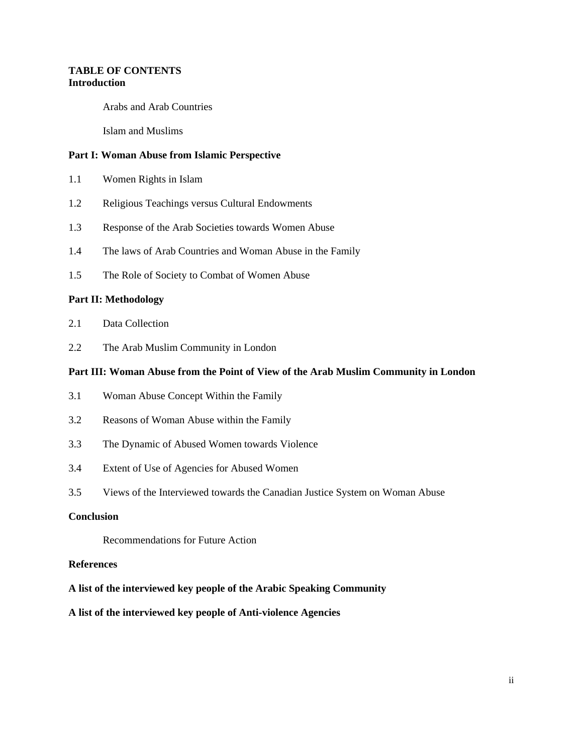# **TABLE OF CONTENTS Introduction**

Arabs and Arab Countries

Islam and Muslims

### **Part I: Woman Abuse from Islamic Perspective**

- 1.1 Women Rights in Islam
- 1.2 Religious Teachings versus Cultural Endowments
- 1.3 Response of the Arab Societies towards Women Abuse
- 1.4 The laws of Arab Countries and Woman Abuse in the Family
- 1.5 The Role of Society to Combat of Women Abuse

#### **Part II: Methodology**

- 2.1 Data Collection
- 2.2 The Arab Muslim Community in London

## **Part III: Woman Abuse from the Point of View of the Arab Muslim Community in London**

- 3.1 Woman Abuse Concept Within the Family
- 3.2 Reasons of Woman Abuse within the Family
- 3.3 The Dynamic of Abused Women towards Violence
- 3.4 Extent of Use of Agencies for Abused Women
- 3.5 Views of the Interviewed towards the Canadian Justice System on Woman Abuse

# **Conclusion**

Recommendations for Future Action

### **References**

- **A list of the interviewed key people of the Arabic Speaking Community**
- **A list of the interviewed key people of Anti-violence Agencies**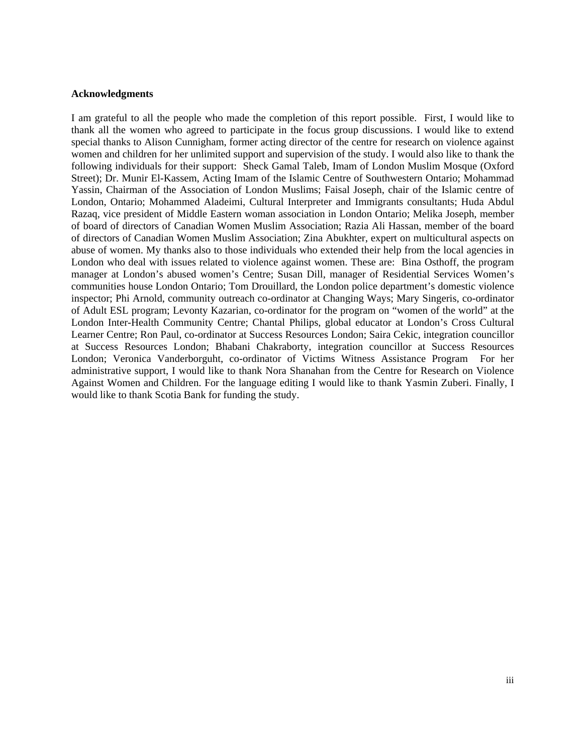#### **Acknowledgments**

 I am grateful to all the people who made the completion of this report possible. First, I would like to thank all the women who agreed to participate in the focus group discussions. I would like to extend special thanks to Alison Cunnigham, former acting director of the centre for research on violence against women and children for her unlimited support and supervision of the study. I would also like to thank the following individuals for their support: Sheck Gamal Taleb, Imam of London Muslim Mosque (Oxford Street); Dr. Munir El-Kassem, Acting Imam of the Islamic Centre of Southwestern Ontario; Mohammad Yassin, Chairman of the Association of London Muslims; Faisal Joseph, chair of the Islamic centre of London, Ontario; Mohammed Aladeimi, Cultural Interpreter and Immigrants consultants; Huda Abdul Razaq, vice president of Middle Eastern woman association in London Ontario; Melika Joseph, member of board of directors of Canadian Women Muslim Association; Razia Ali Hassan, member of the board of directors of Canadian Women Muslim Association; Zina Abukhter, expert on multicultural aspects on abuse of women. My thanks also to those individuals who extended their help from the local agencies in London who deal with issues related to violence against women. These are: Bina Osthoff, the program manager at London's abused women's Centre; Susan Dill, manager of Residential Services Women's communities house London Ontario; Tom Drouillard, the London police department's domestic violence inspector; Phi Arnold, community outreach co-ordinator at Changing Ways; Mary Singeris, co-ordinator of Adult ESL program; Levonty Kazarian, co-ordinator for the program on "women of the world" at the London Inter-Health Community Centre; Chantal Philips, global educator at London's Cross Cultural Learner Centre; Ron Paul, co-ordinator at Success Resources London; Saira Cekic, integration councillor at Success Resources London; Bhabani Chakraborty, integration councillor at Success Resources London; Veronica Vanderborguht, co-ordinator of Victims Witness Assistance Program For her administrative support, I would like to thank Nora Shanahan from the Centre for Research on Violence Against Women and Children. For the language editing I would like to thank Yasmin Zuberi. Finally, I would like to thank Scotia Bank for funding the study.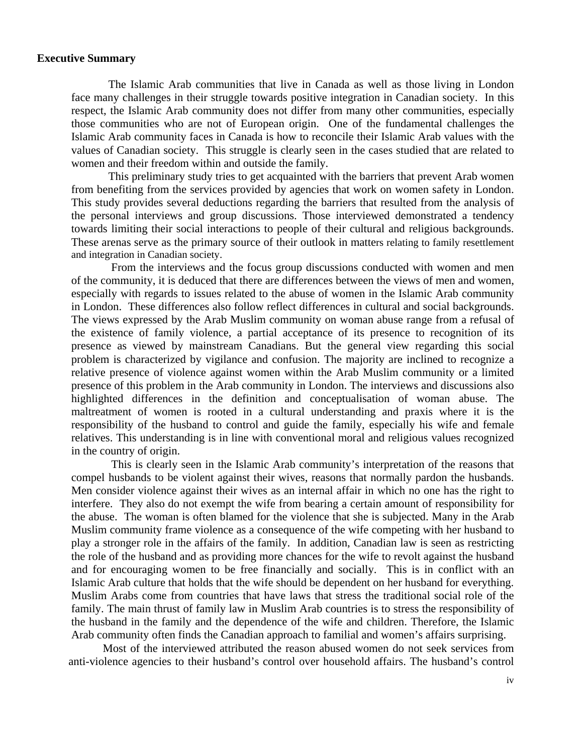# **Executive Summary**

 The Islamic Arab communities that live in Canada as well as those living in London face many challenges in their struggle towards positive integration in Canadian society. In this respect, the Islamic Arab community does not differ from many other communities, especially those communities who are not of European origin. One of the fundamental challenges the Islamic Arab community faces in Canada is how to reconcile their Islamic Arab values with the values of Canadian society. This struggle is clearly seen in the cases studied that are related to women and their freedom within and outside the family.

 This preliminary study tries to get acquainted with the barriers that prevent Arab women from benefiting from the services provided by agencies that work on women safety in London. This study provides several deductions regarding the barriers that resulted from the analysis of the personal interviews and group discussions. Those interviewed demonstrated a tendency towards limiting their social interactions to people of their cultural and religious backgrounds. These arenas serve as the primary source of their outlook in matters relating to family resettlement and integration in Canadian society.

 From the interviews and the focus group discussions conducted with women and men of the community, it is deduced that there are differences between the views of men and women, especially with regards to issues related to the abuse of women in the Islamic Arab community in London. These differences also follow reflect differences in cultural and social backgrounds. The views expressed by the Arab Muslim community on woman abuse range from a refusal of the existence of family violence, a partial acceptance of its presence to recognition of its presence as viewed by mainstream Canadians. But the general view regarding this social problem is characterized by vigilance and confusion. The majority are inclined to recognize a relative presence of violence against women within the Arab Muslim community or a limited presence of this problem in the Arab community in London. The interviews and discussions also highlighted differences in the definition and conceptualisation of woman abuse. The maltreatment of women is rooted in a cultural understanding and praxis where it is the responsibility of the husband to control and guide the family, especially his wife and female relatives. This understanding is in line with conventional moral and religious values recognized in the country of origin.

 This is clearly seen in the Islamic Arab community's interpretation of the reasons that compel husbands to be violent against their wives, reasons that normally pardon the husbands. Men consider violence against their wives as an internal affair in which no one has the right to interfere. They also do not exempt the wife from bearing a certain amount of responsibility for the abuse. The woman is often blamed for the violence that she is subjected. Many in the Arab Muslim community frame violence as a consequence of the wife competing with her husband to play a stronger role in the affairs of the family. In addition, Canadian law is seen as restricting the role of the husband and as providing more chances for the wife to revolt against the husband and for encouraging women to be free financially and socially. This is in conflict with an Islamic Arab culture that holds that the wife should be dependent on her husband for everything. Muslim Arabs come from countries that have laws that stress the traditional social role of the family. The main thrust of family law in Muslim Arab countries is to stress the responsibility of the husband in the family and the dependence of the wife and children. Therefore, the Islamic Arab community often finds the Canadian approach to familial and women's affairs surprising.

 Most of the interviewed attributed the reason abused women do not seek services from anti-violence agencies to their husband's control over household affairs. The husband's control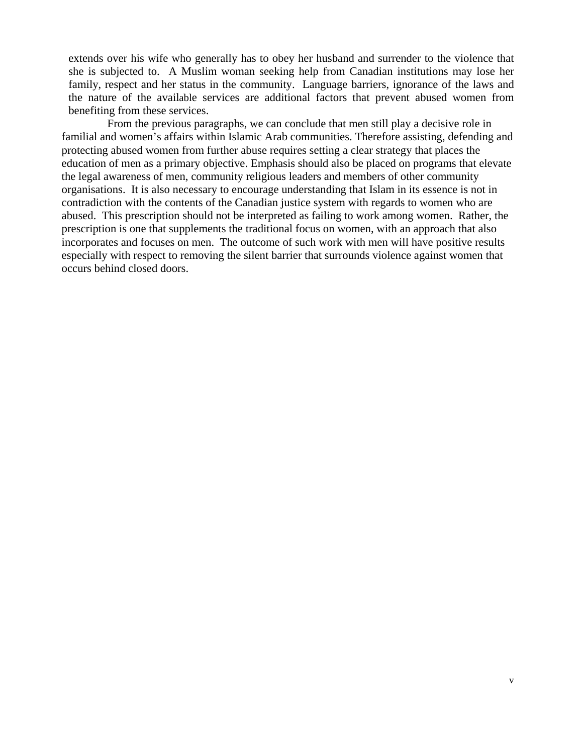extends over his wife who generally has to obey her husband and surrender to the violence that she is subjected to. A Muslim woman seeking help from Canadian institutions may lose her family, respect and her status in the community. Language barriers, ignorance of the laws and the nature of the available services are additional factors that prevent abused women from benefiting from these services.

 From the previous paragraphs, we can conclude that men still play a decisive role in familial and women's affairs within Islamic Arab communities. Therefore assisting, defending and protecting abused women from further abuse requires setting a clear strategy that places the education of men as a primary objective. Emphasis should also be placed on programs that elevate the legal awareness of men, community religious leaders and members of other community organisations. It is also necessary to encourage understanding that Islam in its essence is not in contradiction with the contents of the Canadian justice system with regards to women who are abused. This prescription should not be interpreted as failing to work among women. Rather, the prescription is one that supplements the traditional focus on women, with an approach that also incorporates and focuses on men. The outcome of such work with men will have positive results especially with respect to removing the silent barrier that surrounds violence against women that occurs behind closed doors.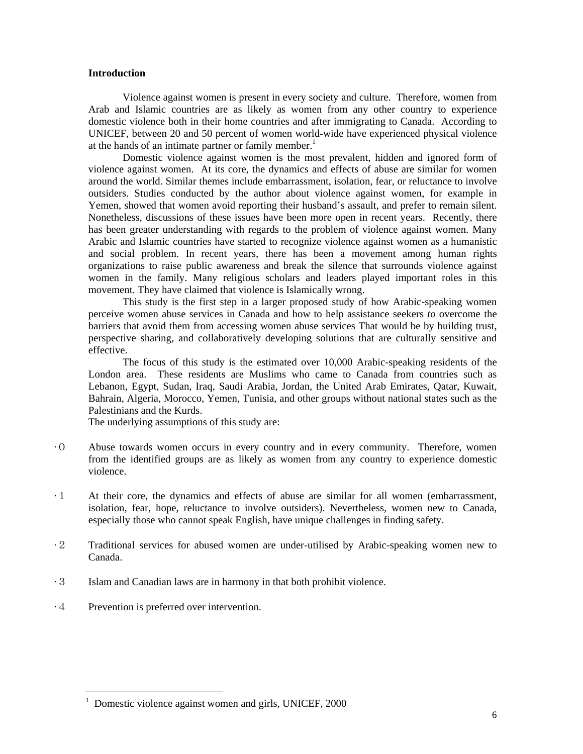## **Introduction**

Violence against women is present in every society and culture. Therefore, women from Arab and Islamic countries are as likely as women from any other country to experience domestic violence both in their home countries and after immigrating to Canada. According to UNICEF, between 20 and 50 percent of women world-wide have experienced physical violence at the hands of an intimate partner or family member.<sup>1</sup>

Domestic violence against women is the most prevalent, hidden and ignored form of violence against women. At its core, the dynamics and effects of abuse are similar for women around the world. Similar themes include embarrassment, isolation, fear, or reluctance to involve outsiders. Studies conducted by the author about violence against women, for example in Yemen, showed that women avoid reporting their husband's assault, and prefer to remain silent. Nonetheless, discussions of these issues have been more open in recent years. Recently, there has been greater understanding with regards to the problem of violence against women. Many Arabic and Islamic countries have started to recognize violence against women as a humanistic and social problem. In recent years, there has been a movement among human rights organizations to raise public awareness and break the silence that surrounds violence against women in the family. Many religious scholars and leaders played important roles in this movement. They have claimed that violence is Islamically wrong.

This study is the first step in a larger proposed study of how Arabic-speaking women perceive women abuse services in Canada and how to help assistance seekers *to* overcome the barriers that avoid them from accessing women abuse services That would be by building trust, perspective sharing, and collaboratively developing solutions that are culturally sensitive and effective.

The focus of this study is the estimated over 10,000 Arabic-speaking residents of the London area. These residents are Muslims who came to Canada from countries such as Lebanon, Egypt, Sudan, Iraq, Saudi Arabia, Jordan, the United Arab Emirates, Qatar, Kuwait, Bahrain, Algeria, Morocco, Yemen, Tunisia, and other groups without national states such as the Palestinians and the Kurds.

The underlying assumptions of this study are:

- ·0 Abuse towards women occurs in every country and in every community. Therefore, women from the identified groups are as likely as women from any country to experience domestic violence.
- ·1 At their core, the dynamics and effects of abuse are similar for all women (embarrassment, isolation, fear, hope, reluctance to involve outsiders). Nevertheless, women new to Canada, especially those who cannot speak English, have unique challenges in finding safety.
- ·2 Traditional services for abused women are under-utilised by Arabic-speaking women new to Canada.
- ·3 Islam and Canadian laws are in harmony in that both prohibit violence.
- ·4 Prevention is preferred over intervention.

 $\overline{a}$ 

<sup>&</sup>lt;sup>1</sup> Domestic violence against women and girls, UNICEF, 2000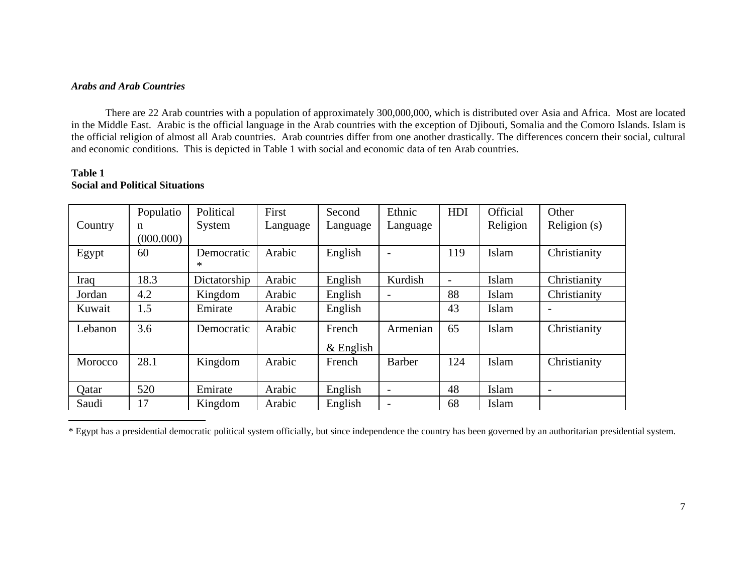# *Arabs and Arab Countries*

There are 22 Arab countries with a population of approximately 300,000,000, which is distributed over Asia and Africa. Most are located in the Middle East. Arabic is the official language in the Arab countries with the exception of Djibouti, Somalia and the Comoro Islands. Islam is the official religion of almost all Arab countries. Arab countries differ from one another drastically. The differences concern their social, cultural and economic conditions. This is depicted in Table 1 with social and economic data of ten Arab countries.

## **Table 1Social and Political Situations**

|         | Populatio | Political    | First    | Second      | Ethnic                   | HDI                      | Official | Other                    |
|---------|-----------|--------------|----------|-------------|--------------------------|--------------------------|----------|--------------------------|
| Country | n         | System       | Language | Language    | Language                 |                          | Religion | Religion (s)             |
|         | (000.000) |              |          |             |                          |                          |          |                          |
| Egypt   | 60        | Democratic   | Arabic   | English     |                          | 119                      | Islam    | Christianity             |
|         |           | ∗            |          |             |                          |                          |          |                          |
| Iraq    | 18.3      | Dictatorship | Arabic   | English     | Kurdish                  | $\overline{\phantom{a}}$ | Islam    | Christianity             |
| Jordan  | 4.2       | Kingdom      | Arabic   | English     |                          | 88                       | Islam    | Christianity             |
| Kuwait  | 1.5       | Emirate      | Arabic   | English     |                          | 43                       | Islam    |                          |
| Lebanon | 3.6       | Democratic   | Arabic   | French      | Armenian                 | 65                       | Islam    | Christianity             |
|         |           |              |          | $&$ English |                          |                          |          |                          |
| Morocco | 28.1      | Kingdom      | Arabic   | French      | <b>Barber</b>            | 124                      | Islam    | Christianity             |
|         |           |              |          |             |                          |                          |          |                          |
| Qatar   | 520       | Emirate      | Arabic   | English     | $\overline{\phantom{a}}$ | 48                       | Islam    | $\overline{\phantom{a}}$ |
| Saudi   | 17        | Kingdom      | Arabic   | English     |                          | 68                       | Islam    |                          |

<sup>\*</sup> Egypt has a presidential democratic political system officially, but since independence the country has been governed by an authoritarian presidential system.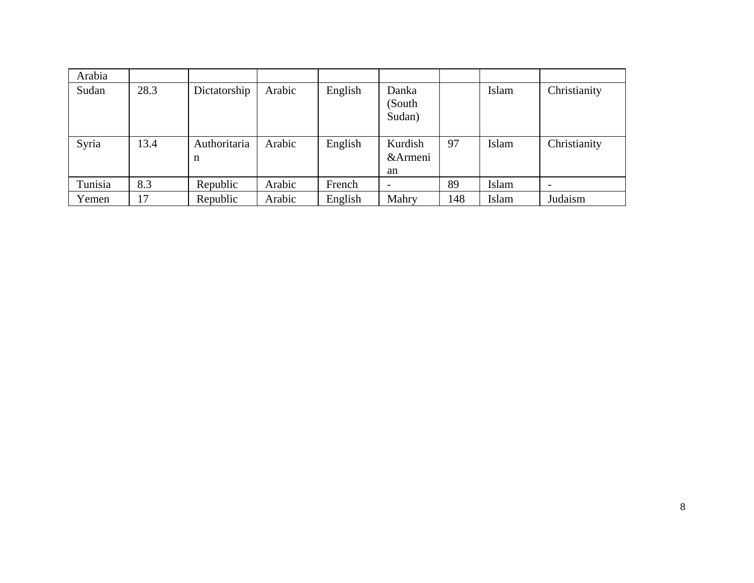| Arabia  |      |                   |        |         |                           |     |       |                          |
|---------|------|-------------------|--------|---------|---------------------------|-----|-------|--------------------------|
| Sudan   | 28.3 | Dictatorship      | Arabic | English | Danka<br>(South<br>Sudan) |     | Islam | Christianity             |
| Syria   | 13.4 | Authoritaria<br>n | Arabic | English | Kurdish<br>&Armeni<br>an  | 97  | Islam | Christianity             |
| Tunisia | 8.3  | Republic          | Arabic | French  |                           | 89  | Islam | $\overline{\phantom{0}}$ |
| Yemen   | 17   | Republic          | Arabic | English | Mahry                     | 148 | Islam | Judaism                  |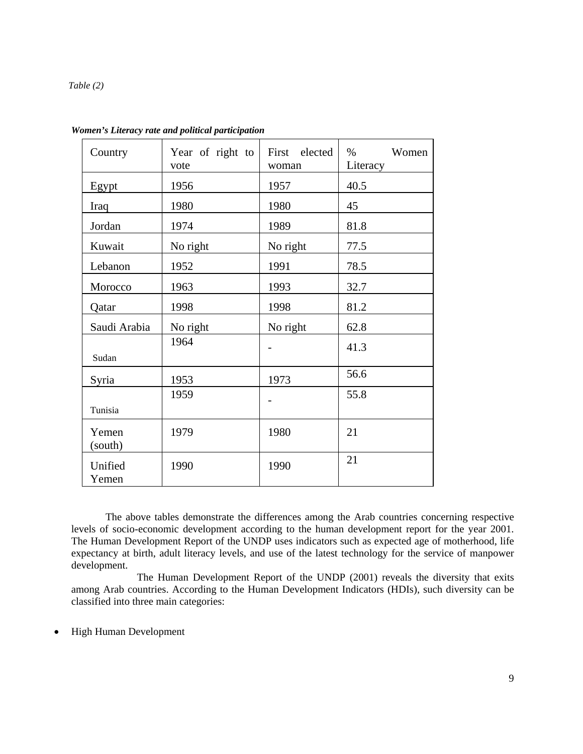#### *Table (2)*

| Country          | Year of right to<br>vote | First elected<br>woman | Women<br>$\%$<br>Literacy |
|------------------|--------------------------|------------------------|---------------------------|
| Egypt            | 1956                     | 1957                   | 40.5                      |
| Iraq             | 1980                     | 1980                   | 45                        |
| Jordan           | 1974                     | 1989                   | 81.8                      |
| Kuwait           | No right                 | No right               | 77.5                      |
| Lebanon          | 1952                     | 1991                   | 78.5                      |
| Morocco          | 1963                     | 1993                   | 32.7                      |
| Qatar            | 1998                     | 1998                   | 81.2                      |
| Saudi Arabia     | No right                 | No right               | 62.8                      |
| Sudan            | 1964                     |                        | 41.3                      |
| Syria            | 1953                     | 1973                   | 56.6                      |
| Tunisia          | 1959                     |                        | 55.8                      |
| Yemen<br>(south) | 1979                     |                        | 21                        |
| Unified<br>Yemen | 1990                     |                        | 21                        |

*Women's Literacy rate and political participation* 

The above tables demonstrate the differences among the Arab countries concerning respective levels of socio-economic development according to the human development report for the year 2001. The Human Development Report of the UNDP uses indicators such as expected age of motherhood, life expectancy at birth, adult literacy levels, and use of the latest technology for the service of manpower development.

 The Human Development Report of the UNDP (2001) reveals the diversity that exits among Arab countries. According to the Human Development Indicators (HDIs), such diversity can be classified into three main categories:

• High Human Development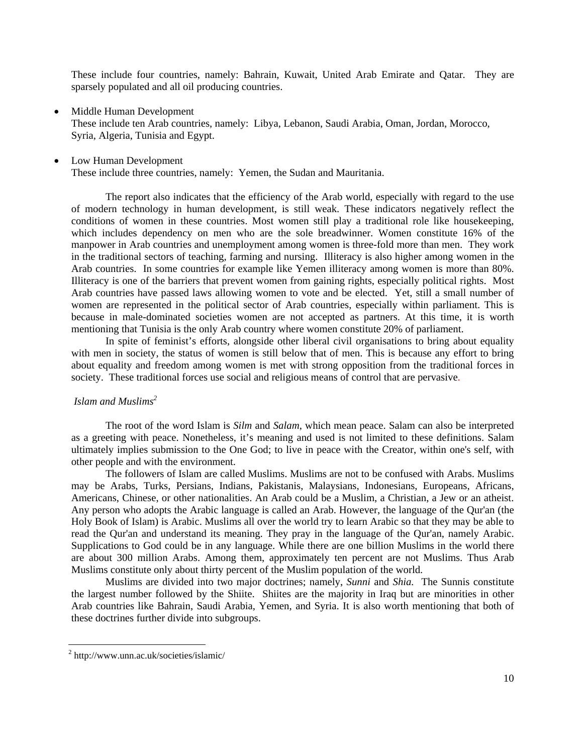These include four countries, namely: Bahrain, Kuwait, United Arab Emirate and Qatar. They are sparsely populated and all oil producing countries.

• Middle Human Development

These include ten Arab countries, namely: Libya, Lebanon, Saudi Arabia, Oman, Jordan, Morocco, Syria, Algeria, Tunisia and Egypt.

• Low Human Development

These include three countries, namely: Yemen, the Sudan and Mauritania.

The report also indicates that the efficiency of the Arab world, especially with regard to the use of modern technology in human development, is still weak. These indicators negatively reflect the conditions of women in these countries. Most women still play a traditional role like housekeeping, which includes dependency on men who are the sole breadwinner. Women constitute 16% of the manpower in Arab countries and unemployment among women is three-fold more than men. They work in the traditional sectors of teaching, farming and nursing. Illiteracy is also higher among women in the Arab countries. In some countries for example like Yemen illiteracy among women is more than 80%. Illiteracy is one of the barriers that prevent women from gaining rights, especially political rights. Most Arab countries have passed laws allowing women to vote and be elected. Yet, still a small number of women are represented in the political sector of Arab countries, especially within parliament. This is because in male-dominated societies women are not accepted as partners. At this time, it is worth mentioning that Tunisia is the only Arab country where women constitute 20% of parliament.

In spite of feminist's efforts, alongside other liberal civil organisations to bring about equality with men in society, the status of women is still below that of men. This is because any effort to bring about equality and freedom among women is met with strong opposition from the traditional forces in society. These traditional forces use social and religious means of control that are pervasive.

## *Islam and Muslims<sup>2</sup>*

The root of the word Islam is *Silm* and *Salam*, which mean peace. Salam can also be interpreted as a greeting with peace. Nonetheless, it's meaning and used is not limited to these definitions. Salam ultimately implies submission to the One God; to live in peace with the Creator, within one's self, with other people and with the environment.

The followers of Islam are called Muslims. Muslims are not to be confused with Arabs. Muslims may be Arabs, Turks, Persians, Indians, Pakistanis, Malaysians, Indonesians, Europeans, Africans, Americans, Chinese, or other nationalities. An Arab could be a Muslim, a Christian, a Jew or an atheist. Any person who adopts the Arabic language is called an Arab. However, the language of the Qur'an (the Holy Book of Islam) is Arabic. Muslims all over the world try to learn Arabic so that they may be able to read the Qur'an and understand its meaning. They pray in the language of the Qur'an, namely Arabic. Supplications to God could be in any language. While there are one billion Muslims in the world there are about 300 million Arabs. Among them, approximately ten percent are not Muslims. Thus Arab Muslims constitute only about thirty percent of the Muslim population of the world.

Muslims are divided into two major doctrines; namely, *Sunni* and *Shia.* The Sunnis constitute the largest number followed by the Shiite. Shiites are the majority in Iraq but are minorities in other Arab countries like Bahrain, Saudi Arabia, Yemen, and Syria. It is also worth mentioning that both of these doctrines further divide into subgroups.

 2 http://www.unn.ac.uk/societies/islamic/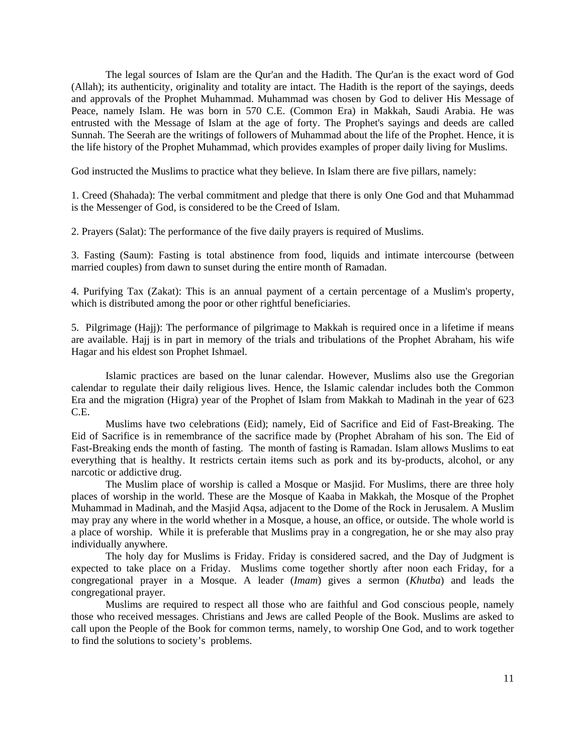The legal sources of Islam are the Qur'an and the Hadith. The Qur'an is the exact word of God (Allah); its authenticity, originality and totality are intact. The Hadith is the report of the sayings, deeds and approvals of the Prophet Muhammad. Muhammad was chosen by God to deliver His Message of Peace, namely Islam. He was born in 570 C.E. (Common Era) in Makkah, Saudi Arabia. He was entrusted with the Message of Islam at the age of forty. The Prophet's sayings and deeds are called Sunnah. The Seerah are the writings of followers of Muhammad about the life of the Prophet. Hence, it is the life history of the Prophet Muhammad, which provides examples of proper daily living for Muslims.

God instructed the Muslims to practice what they believe. In Islam there are five pillars, namely:

1. Creed (Shahada): The verbal commitment and pledge that there is only One God and that Muhammad is the Messenger of God, is considered to be the Creed of Islam.

2. Prayers (Salat): The performance of the five daily prayers is required of Muslims.

3. Fasting (Saum): Fasting is total abstinence from food, liquids and intimate intercourse (between married couples) from dawn to sunset during the entire month of Ramadan.

4. Purifying Tax (Zakat): This is an annual payment of a certain percentage of a Muslim's property, which is distributed among the poor or other rightful beneficiaries.

5. Pilgrimage (Hajj): The performance of pilgrimage to Makkah is required once in a lifetime if means are available. Hajj is in part in memory of the trials and tribulations of the Prophet Abraham, his wife Hagar and his eldest son Prophet Ishmael.

Islamic practices are based on the lunar calendar. However, Muslims also use the Gregorian calendar to regulate their daily religious lives. Hence, the Islamic calendar includes both the Common Era and the migration (Higra) year of the Prophet of Islam from Makkah to Madinah in the year of 623 C.E.

Muslims have two celebrations (Eid); namely, Eid of Sacrifice and Eid of Fast-Breaking. The Eid of Sacrifice is in remembrance of the sacrifice made by (Prophet Abraham of his son. The Eid of Fast-Breaking ends the month of fasting. The month of fasting is Ramadan. Islam allows Muslims to eat everything that is healthy. It restricts certain items such as pork and its by-products, alcohol, or any narcotic or addictive drug.

The Muslim place of worship is called a Mosque or Masjid. For Muslims, there are three holy places of worship in the world. These are the Mosque of Kaaba in Makkah, the Mosque of the Prophet Muhammad in Madinah, and the Masjid Aqsa, adjacent to the Dome of the Rock in Jerusalem. A Muslim may pray any where in the world whether in a Mosque, a house, an office, or outside. The whole world is a place of worship. While it is preferable that Muslims pray in a congregation, he or she may also pray individually anywhere.

The holy day for Muslims is Friday. Friday is considered sacred, and the Day of Judgment is expected to take place on a Friday. Muslims come together shortly after noon each Friday, for a congregational prayer in a Mosque. A leader (*Imam*) gives a sermon (*Khutba*) and leads the congregational prayer.

Muslims are required to respect all those who are faithful and God conscious people, namely those who received messages. Christians and Jews are called People of the Book. Muslims are asked to call upon the People of the Book for common terms, namely, to worship One God, and to work together to find the solutions to society's problems.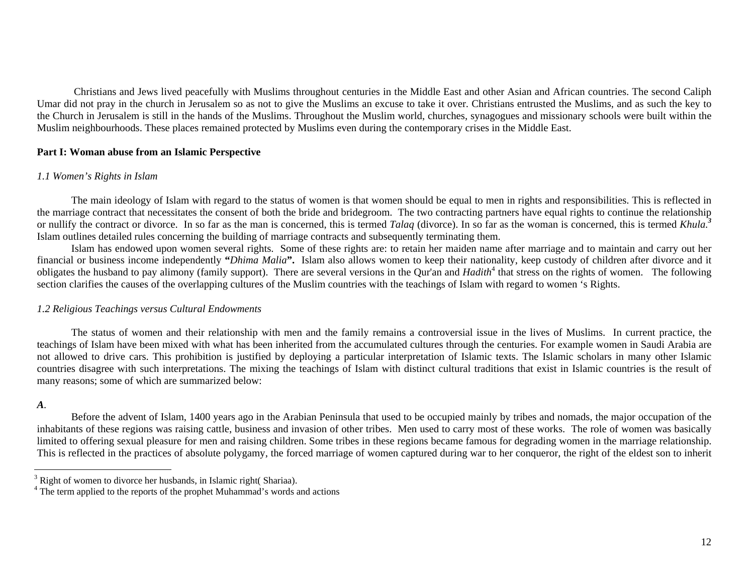Christians and Jews lived peacefully with Muslims throughout centuries in the Middle East and other Asian and African countries. The second Caliph Umar did not pray in the church in Jerusalem so as not to give the Muslims an excuse to take it over. Christians entrusted the Muslims, and as such the key to the Church in Jerusalem is still in the hands of the Muslims. Throughout the Muslim world, churches, synagogues and missionary schools were built within the Muslim neighbourhoods. These places remained protected by Muslims even during the contemporary crises in the Middle East.

## **Part I: Woman abuse from an Islamic Perspective**

#### *1.1 Women's Rights in Islam*

The main ideology of Islam with regard to the status of women is that women should be equal to men in rights and responsibilities. This is reflected in the marriage contract that necessitates the consent of both the bride and bridegroom. The two contracting partners have equal rights to continue the relationship or nullify the contract or divorce. In so far as the man is concerned, this is termed *Talaq* (divorce). In so far as the woman is concerned, this is termed *Khula.<sup>3</sup>* Islam outlines detailed rules concerning the building of marriage contracts and subsequently terminating them.

Islam has endowed upon women several rights. Some of these rights are: to retain her maiden name after marriage and to maintain and carry out her financial or business income independently **"***Dhima Malia***".** Islam also allows women to keep their nationality, keep custody of children after divorce and it obligates the husband to pay alimony (family support). There are several versions in the Qur'an and *Hadith*<sup>4</sup> that stress on the rights of women. The following section clarifies the causes of the overlapping cultures of the Muslim countries with the teachings of Islam with regard to women 's Rights.

## *1.2 Religious Teachings versus Cultural Endowments*

The status of women and their relationship with men and the family remains a controversial issue in the lives of Muslims. In current practice, the teachings of Islam have been mixed with what has been inherited from the accumulated cultures through the centuries. For example women in Saudi Arabia are not allowed to drive cars. This prohibition is justified by deploying a particular interpretation of Islamic texts. The Islamic scholars in many other Islamic countries disagree with such interpretations. The mixing the teachings of Islam with distinct cultural traditions that exist in Islamic countries is the result of many reasons; some of which are summarized below:

## *A.*

Before the advent of Islam, 1400 years ago in the Arabian Peninsula that used to be occupied mainly by tribes and nomads, the major occupation of the inhabitants of these regions was raising cattle, business and invasion of other tribes. Men used to carry most of these works. The role of women was basically limited to offering sexual pleasure for men and raising children. Some tribes in these regions became famous for degrading women in the marriage relationship. This is reflected in the practices of absolute polygamy, the forced marriage of women captured during war to her conqueror, the right of the eldest son to inherit

<sup>&</sup>lt;sup>3</sup> Right of women to divorce her husbands, in Islamic right( Shariaa).

<sup>&</sup>lt;sup>4</sup> The term applied to the reports of the prophet Muhammad's words and actions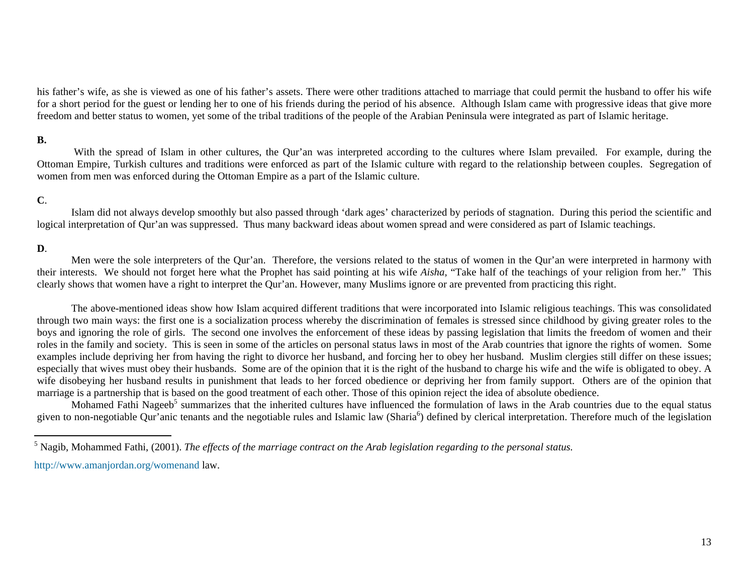his father's wife, as she is viewed as one of his father's assets. There were other traditions attached to marriage that could permit the husband to offer his wife for a short period for the guest or lending her to one of his friends during the period of his absence. Although Islam came with progressive ideas that give more freedom and better status to women, yet some of the tribal traditions of the people of the Arabian Peninsula were integrated as part of Islamic heritage.

# **B.**

With the spread of Islam in other cultures, the Qur'an was interpreted according to the cultures where Islam prevailed. For example, during the Ottoman Empire, Turkish cultures and traditions were enforced as part of the Islamic culture with regard to the relationship between couples. Segregation of women from men was enforced during the Ottoman Empire as a part of the Islamic culture.

# **C**.

Islam did not always develop smoothly but also passed through 'dark ages' characterized by periods of stagnation. During this period the scientific and logical interpretation of Qur'an was suppressed. Thus many backward ideas about women spread and were considered as part of Islamic teachings.

## **D**.

Men were the sole interpreters of the Qur'an. Therefore, the versions related to the status of women in the Qur'an were interpreted in harmony with their interests. We should not forget here what the Prophet has said pointing at his wife *Aisha,* "Take half of the teachings of your religion from her." This clearly shows that women have a right to interpret the Qur'an. However, many Muslims ignore or are prevented from practicing this right.

The above-mentioned ideas show how Islam acquired different traditions that were incorporated into Islamic religious teachings. This was consolidated through two main ways: the first one is a socialization process whereby the discrimination of females is stressed since childhood by giving greater roles to the boys and ignoring the role of girls. The second one involves the enforcement of these ideas by passing legislation that limits the freedom of women and their roles in the family and society. This is seen in some of the articles on personal status laws in most of the Arab countries that ignore the rights of women. Some examples include depriving her from having the right to divorce her husband, and forcing her to obey her husband. Muslim clergies still differ on these issues; especially that wives must obey their husbands. Some are of the opinion that it is the right of the husband to charge his wife and the wife is obligated to obey. A wife disobeying her husband results in punishment that leads to her forced obedience or depriving her from family support. Others are of the opinion that marriage is a partnership that is based on the good treatment of each other. Those of this opinion reject the idea of absolute obedience.

Mohamed Fathi Nageeb<sup>5</sup> summarizes that the inherited cultures have influenced the formulation of laws in the Arab countries due to the equal status given to non-negotiable Qur'anic tenants and the negotiable rules and Islamic law (Sharia<sup>6</sup>) defined by clerical interpretation. Therefore much of the legislation

http://www.amanjordan.org/womenand law.

<sup>5</sup> Nagib, Mohammed Fathi, (2001). *The effects of the marriage contract on the Arab legislation regarding to the personal status.*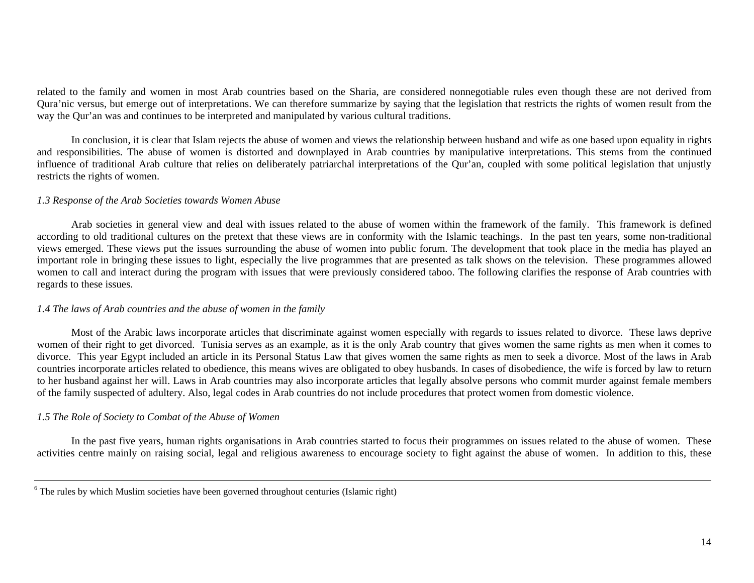related to the family and women in most Arab countries based on the Sharia, are considered nonnegotiable rules even though these are not derived from Qura'nic versus, but emerge out of interpretations. We can therefore summarize by saying that the legislation that restricts the rights of women result from the way the Qur'an was and continues to be interpreted and manipulated by various cultural traditions.

In conclusion, it is clear that Islam rejects the abuse of women and views the relationship between husband and wife as one based upon equality in rights and responsibilities. The abuse of women is distorted and downplayed in Arab countries by manipulative interpretations. This stems from the continued influence of traditional Arab culture that relies on deliberately patriarchal interpretations of the Qur'an, coupled with some political legislation that unjustly restricts the rights of women.

#### *1.3 Response of the Arab Societies towards Women Abuse*

Arab societies in general view and deal with issues related to the abuse of women within the framework of the family. This framework is defined according to old traditional cultures on the pretext that these views are in conformity with the Islamic teachings. In the past ten years, some non-traditional views emerged. These views put the issues surrounding the abuse of women into public forum. The development that took place in the media has played an important role in bringing these issues to light, especially the live programmes that are presented as talk shows on the television. These programmes allowed women to call and interact during the program with issues that were previously considered taboo. The following clarifies the response of Arab countries with regards to these issues.

# *1.4 The laws of Arab countries and the abuse of women in the family*

Most of the Arabic laws incorporate articles that discriminate against women especially with regards to issues related to divorce. These laws deprive women of their right to get divorced. Tunisia serves as an example, as it is the only Arab country that gives women the same rights as men when it comes to divorce. This year Egypt included an article in its Personal Status Law that gives women the same rights as men to seek a divorce. Most of the laws in Arab countries incorporate articles related to obedience, this means wives are obligated to obey husbands. In cases of disobedience, the wife is forced by law to return to her husband against her will. Laws in Arab countries may also incorporate articles that legally absolve persons who commit murder against female members of the family suspected of adultery. Also, legal codes in Arab countries do not include procedures that protect women from domestic violence.

# *1.5 The Role of Society to Combat of the Abuse of Women*

In the past five years, human rights organisations in Arab countries started to focus their programmes on issues related to the abuse of women. These activities centre mainly on raising social, legal and religious awareness to encourage society to fight against the abuse of women. In addition to this, these

 $6$  The rules by which Muslim societies have been governed throughout centuries (Islamic right)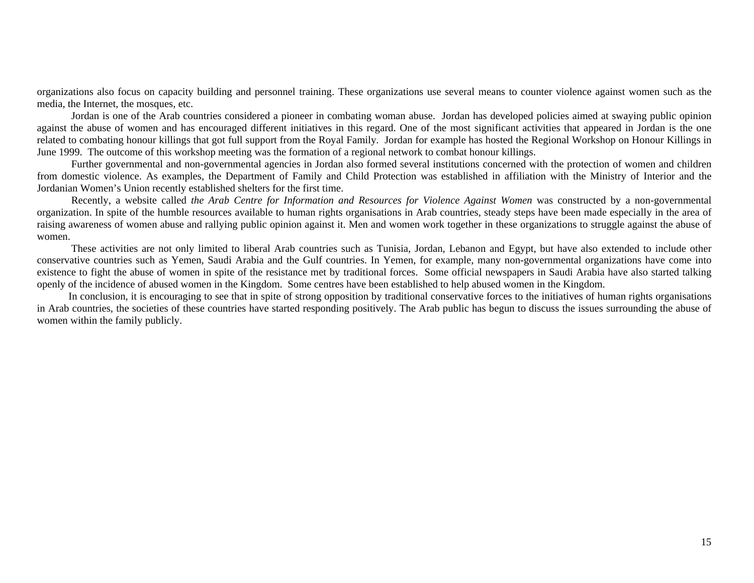organizations also focus on capacity building and personnel training. These organizations use several means to counter violence against women such as the media, the Internet, the mosques, etc.

Jordan is one of the Arab countries considered a pioneer in combating woman abuse. Jordan has developed policies aimed at swaying public opinion against the abuse of women and has encouraged different initiatives in this regard. One of the most significant activities that appeared in Jordan is the one related to combating honour killings that got full support from the Royal Family. Jordan for example has hosted the Regional Workshop on Honour Killings in June 1999. The outcome of this workshop meeting was the formation of a regional network to combat honour killings.

Further governmental and non-governmental agencies in Jordan also formed several institutions concerned with the protection of women and children from domestic violence. As examples, the Department of Family and Child Protection was established in affiliation with the Ministry of Interior and the Jordanian Women's Union recently established shelters for the first time.

Recently, a website called *the Arab Centre for Information and Resources for Violence Against Women* was constructed by a non-governmental organization. In spite of the humble resources available to human rights organisations in Arab countries, steady steps have been made especially in the area of raising awareness of women abuse and rallying public opinion against it. Men and women work together in these organizations to struggle against the abuse of women.

These activities are not only limited to liberal Arab countries such as Tunisia, Jordan, Lebanon and Egypt, but have also extended to include other conservative countries such as Yemen, Saudi Arabia and the Gulf countries. In Yemen, for example, many non-governmental organizations have come into existence to fight the abuse of women in spite of the resistance met by traditional forces. Some official newspapers in Saudi Arabia have also started talking openly of the incidence of abused women in the Kingdom. Some centres have been established to help abused women in the Kingdom.

In conclusion, it is encouraging to see that in spite of strong opposition by traditional conservative forces to the initiatives of human rights organisations in Arab countries, the societies of these countries have started responding positively. The Arab public has begun to discuss the issues surrounding the abuse of women within the family publicly.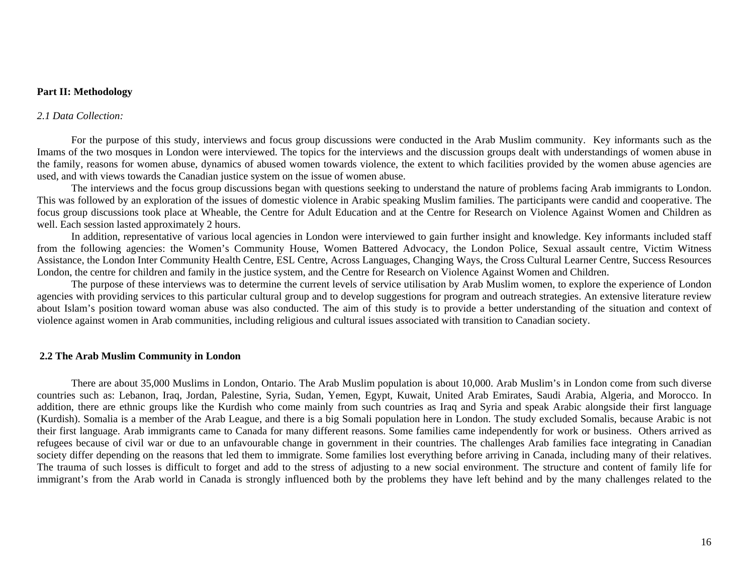### **Part II: Methodology**

#### *2.1 Data Collection:*

For the purpose of this study, interviews and focus group discussions were conducted in the Arab Muslim community. Key informants such as the Imams of the two mosques in London were interviewed. The topics for the interviews and the discussion groups dealt with understandings of women abuse in the family, reasons for women abuse, dynamics of abused women towards violence, the extent to which facilities provided by the women abuse agencies are used, and with views towards the Canadian justice system on the issue of women abuse.

The interviews and the focus group discussions began with questions seeking to understand the nature of problems facing Arab immigrants to London. This was followed by an exploration of the issues of domestic violence in Arabic speaking Muslim families. The participants were candid and cooperative. The focus group discussions took place at Wheable, the Centre for Adult Education and at the Centre for Research on Violence Against Women and Children as well. Each session lasted approximately 2 hours.

In addition, representative of various local agencies in London were interviewed to gain further insight and knowledge. Key informants included staff from the following agencies: the Women's Community House, Women Battered Advocacy, the London Police, Sexual assault centre, Victim Witness Assistance, the London Inter Community Health Centre, ESL Centre, Across Languages, Changing Ways, the Cross Cultural Learner Centre, Success Resources London, the centre for children and family in the justice system, and the Centre for Research on Violence Against Women and Children.

The purpose of these interviews was to determine the current levels of service utilisation by Arab Muslim women, to explore the experience of London agencies with providing services to this particular cultural group and to develop suggestions for program and outreach strategies. An extensive literature review about Islam's position toward woman abuse was also conducted. The aim of this study is to provide a better understanding of the situation and context of violence against women in Arab communities, including religious and cultural issues associated with transition to Canadian society.

#### **2.2 The Arab Muslim Community in London**

There are about 35,000 Muslims in London, Ontario. The Arab Muslim population is about 10,000. Arab Muslim's in London come from such diverse countries such as: Lebanon, Iraq, Jordan, Palestine, Syria, Sudan, Yemen, Egypt, Kuwait, United Arab Emirates, Saudi Arabia, Algeria, and Morocco. In addition, there are ethnic groups like the Kurdish who come mainly from such countries as Iraq and Syria and speak Arabic alongside their first language (Kurdish). Somalia is a member of the Arab League, and there is a big Somali population here in London. The study excluded Somalis, because Arabic is not their first language. Arab immigrants came to Canada for many different reasons. Some families came independently for work or business. Others arrived as refugees because of civil war or due to an unfavourable change in government in their countries. The challenges Arab families face integrating in Canadian society differ depending on the reasons that led them to immigrate. Some families lost everything before arriving in Canada, including many of their relatives. The trauma of such losses is difficult to forget and add to the stress of adjusting to a new social environment. The structure and content of family life for immigrant's from the Arab world in Canada is strongly influenced both by the problems they have left behind and by the many challenges related to the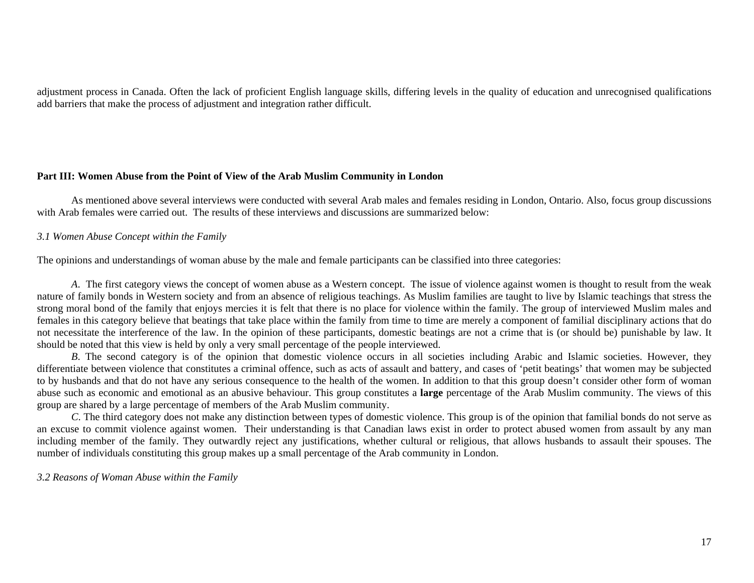adjustment process in Canada. Often the lack of proficient English language skills, differing levels in the quality of education and unrecognised qualifications add barriers that make the process of adjustment and integration rather difficult.

## **Part III: Women Abuse from the Point of View of the Arab Muslim Community in London**

As mentioned above several interviews were conducted with several Arab males and females residing in London, Ontario. Also, focus group discussions with Arab females were carried out. The results of these interviews and discussions are summarized below:

# *3.1 Women Abuse Concept within the Family*

The opinions and understandings of woman abuse by the male and female participants can be classified into three categories:

*A*. The first category views the concept of women abuse as a Western concept. The issue of violence against women is thought to result from the weak nature of family bonds in Western society and from an absence of religious teachings. As Muslim families are taught to live by Islamic teachings that stress the strong moral bond of the family that enjoys mercies it is felt that there is no place for violence within the family. The group of interviewed Muslim males and females in this category believe that beatings that take place within the family from time to time are merely a component of familial disciplinary actions that do not necessitate the interference of the law. In the opinion of these participants, domestic beatings are not a crime that is (or should be) punishable by law. It should be noted that this view is held by only a very small percentage of the people interviewed.

*B*. The second category is of the opinion that domestic violence occurs in all societies including Arabic and Islamic societies. However, they differentiate between violence that constitutes a criminal offence, such as acts of assault and battery, and cases of 'petit beatings' that women may be subjected to by husbands and that do not have any serious consequence to the health of the women. In addition to that this group doesn't consider other form of woman abuse such as economic and emotional as an abusive behaviour. This group constitutes a **large** percentage of the Arab Muslim community. The views of this group are shared by a large percentage of members of the Arab Muslim community.

*C*. The third category does not make any distinction between types of domestic violence. This group is of the opinion that familial bonds do not serve as an excuse to commit violence against women. Their understanding is that Canadian laws exist in order to protect abused women from assault by any man including member of the family. They outwardly reject any justifications, whether cultural or religious, that allows husbands to assault their spouses. The number of individuals constituting this group makes up a small percentage of the Arab community in London.

*3.2 Reasons of Woman Abuse within the Family*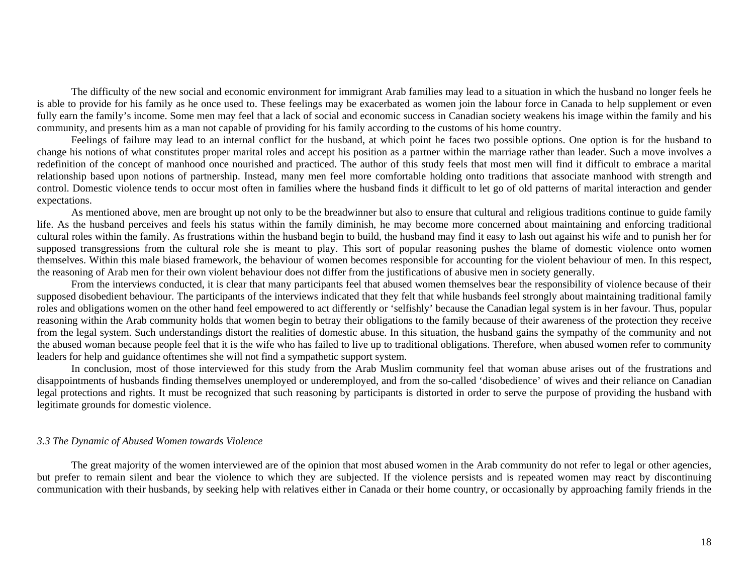The difficulty of the new social and economic environment for immigrant Arab families may lead to a situation in which the husband no longer feels he is able to provide for his family as he once used to. These feelings may be exacerbated as women join the labour force in Canada to help supplement or even fully earn the family's income. Some men may feel that a lack of social and economic success in Canadian society weakens his image within the family and his community, and presents him as a man not capable of providing for his family according to the customs of his home country.

Feelings of failure may lead to an internal conflict for the husband, at which point he faces two possible options. One option is for the husband to change his notions of what constitutes proper marital roles and accept his position as a partner within the marriage rather than leader. Such a move involves a redefinition of the concept of manhood once nourished and practiced. The author of this study feels that most men will find it difficult to embrace a marital relationship based upon notions of partnership. Instead, many men feel more comfortable holding onto traditions that associate manhood with strength and control. Domestic violence tends to occur most often in families where the husband finds it difficult to let go of old patterns of marital interaction and gender expectations.

As mentioned above, men are brought up not only to be the breadwinner but also to ensure that cultural and religious traditions continue to guide family life. As the husband perceives and feels his status within the family diminish, he may become more concerned about maintaining and enforcing traditional cultural roles within the family. As frustrations within the husband begin to build, the husband may find it easy to lash out against his wife and to punish her for supposed transgressions from the cultural role she is meant to play. This sort of popular reasoning pushes the blame of domestic violence onto women themselves. Within this male biased framework, the behaviour of women becomes responsible for accounting for the violent behaviour of men. In this respect, the reasoning of Arab men for their own violent behaviour does not differ from the justifications of abusive men in society generally.

From the interviews conducted, it is clear that many participants feel that abused women themselves bear the responsibility of violence because of their supposed disobedient behaviour. The participants of the interviews indicated that they felt that while husbands feel strongly about maintaining traditional family roles and obligations women on the other hand feel empowered to act differently or 'selfishly' because the Canadian legal system is in her favour. Thus, popular reasoning within the Arab community holds that women begin to betray their obligations to the family because of their awareness of the protection they receive from the legal system. Such understandings distort the realities of domestic abuse. In this situation, the husband gains the sympathy of the community and not the abused woman because people feel that it is the wife who has failed to live up to traditional obligations. Therefore, when abused women refer to community leaders for help and guidance oftentimes she will not find a sympathetic support system.

In conclusion, most of those interviewed for this study from the Arab Muslim community feel that woman abuse arises out of the frustrations and disappointments of husbands finding themselves unemployed or underemployed, and from the so-called 'disobedience' of wives and their reliance on Canadian legal protections and rights. It must be recognized that such reasoning by participants is distorted in order to serve the purpose of providing the husband with legitimate grounds for domestic violence.

#### *3.3 The Dynamic of Abused Women towards Violence*

The great majority of the women interviewed are of the opinion that most abused women in the Arab community do not refer to legal or other agencies, but prefer to remain silent and bear the violence to which they are subjected. If the violence persists and is repeated women may react by discontinuing communication with their husbands, by seeking help with relatives either in Canada or their home country, or occasionally by approaching family friends in the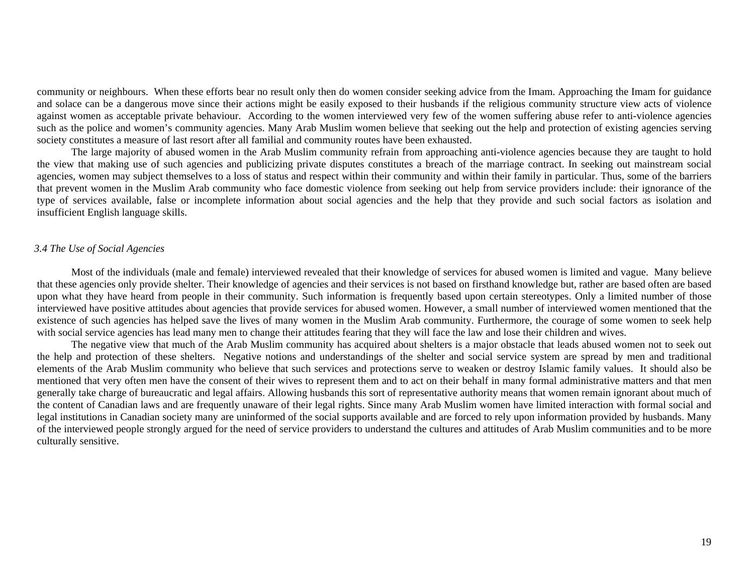community or neighbours. When these efforts bear no result only then do women consider seeking advice from the Imam. Approaching the Imam for guidance and solace can be a dangerous move since their actions might be easily exposed to their husbands if the religious community structure view acts of violence against women as acceptable private behaviour. According to the women interviewed very few of the women suffering abuse refer to anti-violence agencies such as the police and women's community agencies. Many Arab Muslim women believe that seeking out the help and protection of existing agencies serving society constitutes a measure of last resort after all familial and community routes have been exhausted.

The large majority of abused women in the Arab Muslim community refrain from approaching anti-violence agencies because they are taught to hold the view that making use of such agencies and publicizing private disputes constitutes a breach of the marriage contract. In seeking out mainstream social agencies, women may subject themselves to a loss of status and respect within their community and within their family in particular. Thus, some of the barriers that prevent women in the Muslim Arab community who face domestic violence from seeking out help from service providers include: their ignorance of the type of services available, false or incomplete information about social agencies and the help that they provide and such social factors as isolation and insufficient English language skills.

#### *3.4 The Use of Social Agencies*

Most of the individuals (male and female) interviewed revealed that their knowledge of services for abused women is limited and vague. Many believe that these agencies only provide shelter. Their knowledge of agencies and their services is not based on firsthand knowledge but, rather are based often are based upon what they have heard from people in their community. Such information is frequently based upon certain stereotypes. Only a limited number of those interviewed have positive attitudes about agencies that provide services for abused women. However, a small number of interviewed women mentioned that the existence of such agencies has helped save the lives of many women in the Muslim Arab community. Furthermore, the courage of some women to seek help with social service agencies has lead many men to change their attitudes fearing that they will face the law and lose their children and wives.

The negative view that much of the Arab Muslim community has acquired about shelters is a major obstacle that leads abused women not to seek out the help and protection of these shelters. Negative notions and understandings of the shelter and social service system are spread by men and traditional elements of the Arab Muslim community who believe that such services and protections serve to weaken or destroy Islamic family values. It should also be mentioned that very often men have the consent of their wives to represent them and to act on their behalf in many formal administrative matters and that men generally take charge of bureaucratic and legal affairs. Allowing husbands this sort of representative authority means that women remain ignorant about much of the content of Canadian laws and are frequently unaware of their legal rights. Since many Arab Muslim women have limited interaction with formal social and legal institutions in Canadian society many are uninformed of the social supports available and are forced to rely upon information provided by husbands. Many of the interviewed people strongly argued for the need of service providers to understand the cultures and attitudes of Arab Muslim communities and to be more culturally sensitive.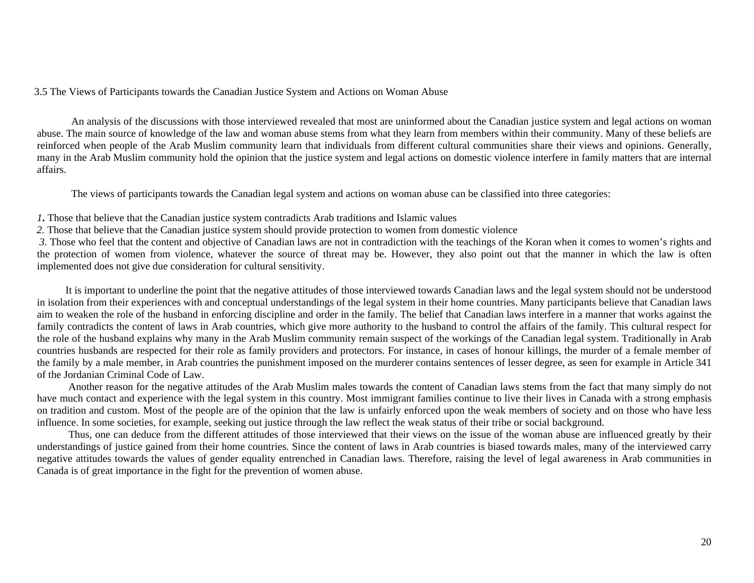#### 3.5 The Views of Participants towards the Canadian Justice System and Actions on Woman Abuse

An analysis of the discussions with those interviewed revealed that most are uninformed about the Canadian justice system and legal actions on woman abuse. The main source of knowledge of the law and woman abuse stems from what they learn from members within their community. Many of these beliefs are reinforced when people of the Arab Muslim community learn that individuals from different cultural communities share their views and opinions. Generally, many in the Arab Muslim community hold the opinion that the justice system and legal actions on domestic violence interfere in family matters that are internal affairs.

The views of participants towards the Canadian legal system and actions on woman abuse can be classified into three categories:

- *1***.** Those that believe that the Canadian justice system contradicts Arab traditions and Islamic values
- *2.* Those that believe that the Canadian justice system should provide protection to women from domestic violence

*3.* Those who feel that the content and objective of Canadian laws are not in contradiction with the teachings of the Koran when it comes to women's rights and the protection of women from violence, whatever the source of threat may be. However, they also point out that the manner in which the law is often implemented does not give due consideration for cultural sensitivity.

 It is important to underline the point that the negative attitudes of those interviewed towards Canadian laws and the legal system should not be understood in isolation from their experiences with and conceptual understandings of the legal system in their home countries. Many participants believe that Canadian laws aim to weaken the role of the husband in enforcing discipline and order in the family. The belief that Canadian laws interfere in a manner that works against the family contradicts the content of laws in Arab countries, which give more authority to the husband to control the affairs of the family. This cultural respect for the role of the husband explains why many in the Arab Muslim community remain suspect of the workings of the Canadian legal system. Traditionally in Arab countries husbands are respected for their role as family providers and protectors. For instance, in cases of honour killings, the murder of a female member of the family by a male member, in Arab countries the punishment imposed on the murderer contains sentences of lesser degree, as seen for example in Article 341 of the Jordanian Criminal Code of Law.

 Another reason for the negative attitudes of the Arab Muslim males towards the content of Canadian laws stems from the fact that many simply do not have much contact and experience with the legal system in this country. Most immigrant families continue to live their lives in Canada with a strong emphasis on tradition and custom. Most of the people are of the opinion that the law is unfairly enforced upon the weak members of society and on those who have less influence. In some societies, for example, seeking out justice through the law reflect the weak status of their tribe or social background.

 Thus, one can deduce from the different attitudes of those interviewed that their views on the issue of the woman abuse are influenced greatly by their understandings of justice gained from their home countries. Since the content of laws in Arab countries is biased towards males, many of the interviewed carry negative attitudes towards the values of gender equality entrenched in Canadian laws. Therefore, raising the level of legal awareness in Arab communities in Canada is of great importance in the fight for the prevention of women abuse.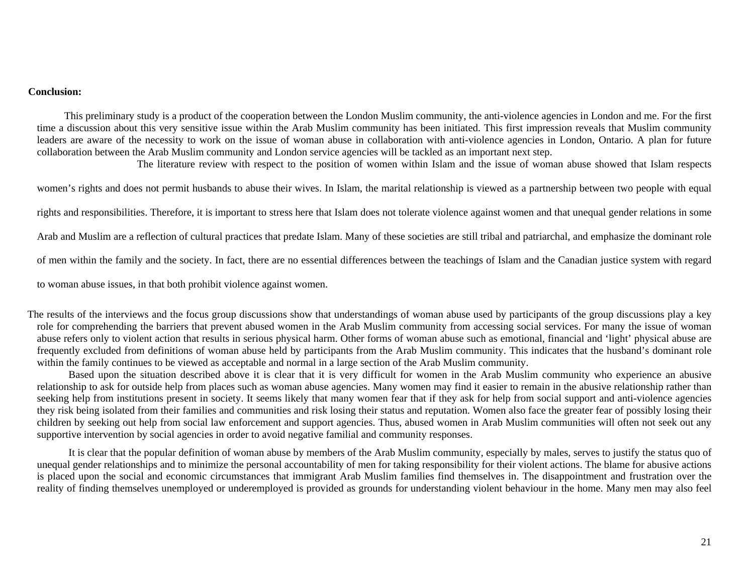#### **Conclusion:**

This preliminary study is a product of the cooperation between the London Muslim community, the anti-violence agencies in London and me. For the first time a discussion about this very sensitive issue within the Arab Muslim community has been initiated. This first impression reveals that Muslim community leaders are aware of the necessity to work on the issue of woman abuse in collaboration with anti-violence agencies in London, Ontario. A plan for future collaboration between the Arab Muslim community and London service agencies will be tackled as an important next step.

The literature review with respect to the position of women within Islam and the issue of woman abuse showed that Islam respects

women's rights and does not permit husbands to abuse their wives. In Islam, the marital relationship is viewed as a partnership between two people with equal

rights and responsibilities. Therefore, it is important to stress here that Islam does not tolerate violence against women and that unequal gender relations in some

Arab and Muslim are a reflection of cultural practices that predate Islam. Many of these societies are still tribal and patriarchal, and emphasize the dominant role

of men within the family and the society. In fact, there are no essential differences between the teachings of Islam and the Canadian justice system with regard

to woman abuse issues, in that both prohibit violence against women.

The results of the interviews and the focus group discussions show that understandings of woman abuse used by participants of the group discussions play a key role for comprehending the barriers that prevent abused women in the Arab Muslim community from accessing social services. For many the issue of woman abuse refers only to violent action that results in serious physical harm. Other forms of woman abuse such as emotional, financial and 'light' physical abuse are frequently excluded from definitions of woman abuse held by participants from the Arab Muslim community. This indicates that the husband's dominant role within the family continues to be viewed as acceptable and normal in a large section of the Arab Muslim community.

Based upon the situation described above it is clear that it is very difficult for women in the Arab Muslim community who experience an abusive relationship to ask for outside help from places such as woman abuse agencies. Many women may find it easier to remain in the abusive relationship rather than seeking help from institutions present in society. It seems likely that many women fear that if they ask for help from social support and anti-violence agencies they risk being isolated from their families and communities and risk losing their status and reputation. Women also face the greater fear of possibly losing their children by seeking out help from social law enforcement and support agencies. Thus, abused women in Arab Muslim communities will often not seek out any supportive intervention by social agencies in order to avoid negative familial and community responses.

It is clear that the popular definition of woman abuse by members of the Arab Muslim community, especially by males, serves to justify the status quo of unequal gender relationships and to minimize the personal accountability of men for taking responsibility for their violent actions. The blame for abusive actions is placed upon the social and economic circumstances that immigrant Arab Muslim families find themselves in. The disappointment and frustration over the reality of finding themselves unemployed or underemployed is provided as grounds for understanding violent behaviour in the home. Many men may also feel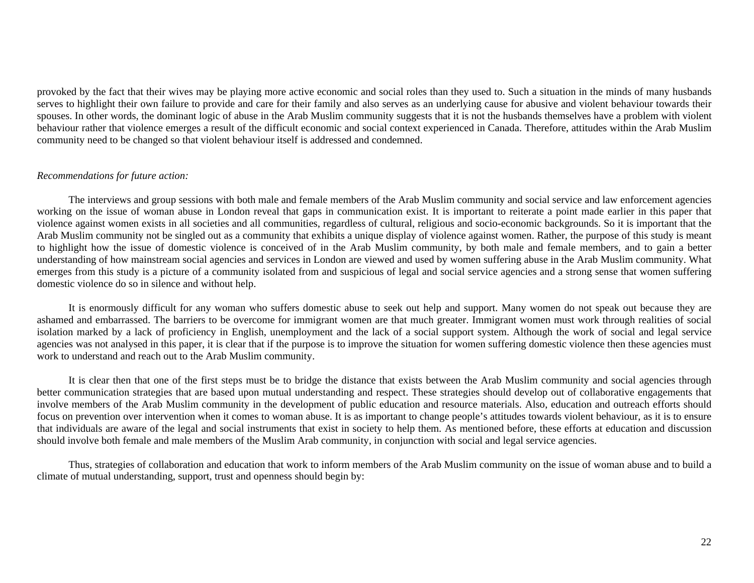provoked by the fact that their wives may be playing more active economic and social roles than they used to. Such a situation in the minds of many husbands serves to highlight their own failure to provide and care for their family and also serves as an underlying cause for abusive and violent behaviour towards their spouses. In other words, the dominant logic of abuse in the Arab Muslim community suggests that it is not the husbands themselves have a problem with violent behaviour rather that violence emerges a result of the difficult economic and social context experienced in Canada. Therefore, attitudes within the Arab Muslim community need to be changed so that violent behaviour itself is addressed and condemned.

#### *Recommendations for future action:*

The interviews and group sessions with both male and female members of the Arab Muslim community and social service and law enforcement agencies working on the issue of woman abuse in London reveal that gaps in communication exist. It is important to reiterate a point made earlier in this paper that violence against women exists in all societies and all communities, regardless of cultural, religious and socio-economic backgrounds. So it is important that the Arab Muslim community not be singled out as a community that exhibits a unique display of violence against women. Rather, the purpose of this study is meant to highlight how the issue of domestic violence is conceived of in the Arab Muslim community, by both male and female members, and to gain a better understanding of how mainstream social agencies and services in London are viewed and used by women suffering abuse in the Arab Muslim community. What emerges from this study is a picture of a community isolated from and suspicious of legal and social service agencies and a strong sense that women suffering domestic violence do so in silence and without help.

It is enormously difficult for any woman who suffers domestic abuse to seek out help and support. Many women do not speak out because they are ashamed and embarrassed. The barriers to be overcome for immigrant women are that much greater. Immigrant women must work through realities of social isolation marked by a lack of proficiency in English, unemployment and the lack of a social support system. Although the work of social and legal service agencies was not analysed in this paper, it is clear that if the purpose is to improve the situation for women suffering domestic violence then these agencies must work to understand and reach out to the Arab Muslim community.

It is clear then that one of the first steps must be to bridge the distance that exists between the Arab Muslim community and social agencies through better communication strategies that are based upon mutual understanding and respect. These strategies should develop out of collaborative engagements that involve members of the Arab Muslim community in the development of public education and resource materials. Also, education and outreach efforts should focus on prevention over intervention when it comes to woman abuse. It is as important to change people's attitudes towards violent behaviour, as it is to ensure that individuals are aware of the legal and social instruments that exist in society to help them. As mentioned before, these efforts at education and discussion should involve both female and male members of the Muslim Arab community, in conjunction with social and legal service agencies.

Thus, strategies of collaboration and education that work to inform members of the Arab Muslim community on the issue of woman abuse and to build a climate of mutual understanding, support, trust and openness should begin by: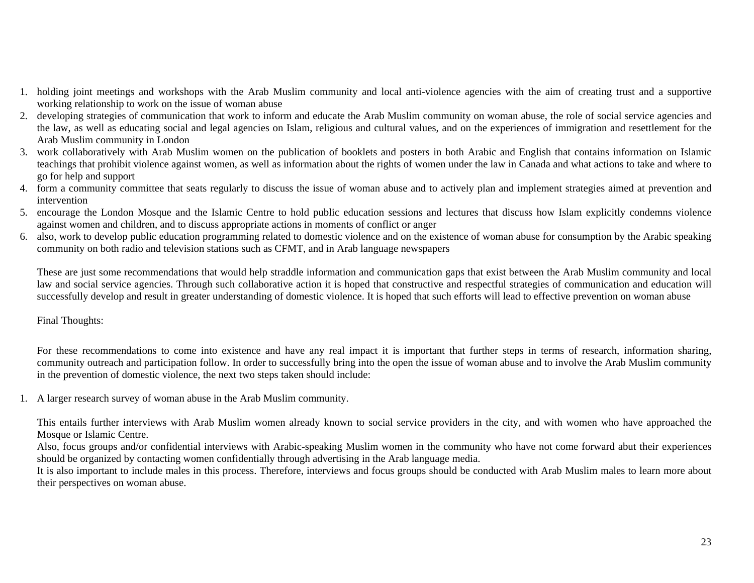- 1. holding joint meetings and workshops with the Arab Muslim community and local anti-violence agencies with the aim of creating trust and a supportive working relationship to work on the issue of woman abuse
- 2. developing strategies of communication that work to inform and educate the Arab Muslim community on woman abuse, the role of social service agencies and the law, as well as educating social and legal agencies on Islam, religious and cultural values, and on the experiences of immigration and resettlement for the Arab Muslim community in London
- 3. work collaboratively with Arab Muslim women on the publication of booklets and posters in both Arabic and English that contains information on Islamic teachings that prohibit violence against women, as well as information about the rights of women under the law in Canada and what actions to take and where to go for help and support
- 4. form a community committee that seats regularly to discuss the issue of woman abuse and to actively plan and implement strategies aimed at prevention and intervention
- 5. encourage the London Mosque and the Islamic Centre to hold public education sessions and lectures that discuss how Islam explicitly condemns violence against women and children, and to discuss appropriate actions in moments of conflict or anger
- 6. also, work to develop public education programming related to domestic violence and on the existence of woman abuse for consumption by the Arabic speaking community on both radio and television stations such as CFMT, and in Arab language newspapers

These are just some recommendations that would help straddle information and communication gaps that exist between the Arab Muslim community and local law and social service agencies. Through such collaborative action it is hoped that constructive and respectful strategies of communication and education will successfully develop and result in greater understanding of domestic violence. It is hoped that such efforts will lead to effective prevention on woman abuse

# Final Thoughts:

For these recommendations to come into existence and have any real impact it is important that further steps in terms of research, information sharing, community outreach and participation follow. In order to successfully bring into the open the issue of woman abuse and to involve the Arab Muslim community in the prevention of domestic violence, the next two steps taken should include:

1. A larger research survey of woman abuse in the Arab Muslim community.

This entails further interviews with Arab Muslim women already known to social service providers in the city, and with women who have approached the Mosque or Islamic Centre.

Also, focus groups and/or confidential interviews with Arabic-speaking Muslim women in the community who have not come forward abut their experiences should be organized by contacting women confidentially through advertising in the Arab language media.

It is also important to include males in this process. Therefore, interviews and focus groups should be conducted with Arab Muslim males to learn more about their perspectives on woman abuse.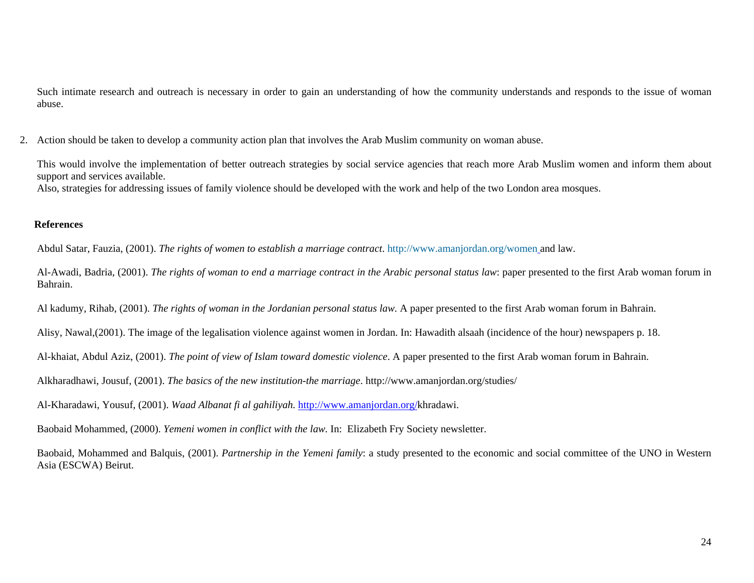Such intimate research and outreach is necessary in order to gain an understanding of how the community understands and responds to the issue of woman abuse.

2. Action should be taken to develop a community action plan that involves the Arab Muslim community on woman abuse.

This would involve the implementation of better outreach strategies by social service agencies that reach more Arab Muslim women and inform them about support and services available.

Also, strategies for addressing issues of family violence should be developed with the work and help of the two London area mosques.

# **References**

Abdul Satar, Fauzia, (2001). *The rights of women to establish a marriage contract*. http://www.amanjordan.org/women and law.

Al-Awadi, Badria, (2001). *The rights of woman to end a marriage contract in the Arabic personal status law*: paper presented to the first Arab woman forum in Bahrain.

Al kadumy, Rihab, (2001). *The rights of woman in the Jordanian personal status law.* A paper presented to the first Arab woman forum in Bahrain.

Alisy, Nawal,(2001). The image of the legalisation violence against women in Jordan. In: Hawadith alsaah (incidence of the hour) newspapers p. 18.

Al-khaiat, Abdul Aziz, (2001). *The point of view of Islam toward domestic violence*. A paper presented to the first Arab woman forum in Bahrain.

Alkharadhawi, Jousuf, (2001). *The basics of the new institution-the marriage*. http://www.amanjordan.org/studies/

Al-Kharadawi, Yousuf, (2001). *Waad Albanat fi al gahiliyah.* http://www.amanjordan.org/khradawi.

Baobaid Mohammed, (2000). *Yemeni women in conflict with the law.* In: Elizabeth Fry Society newsletter.

Baobaid, Mohammed and Balquis, (2001). *Partnership in the Yemeni family*: a study presented to the economic and social committee of the UNO in Western Asia (ESCWA) Beirut.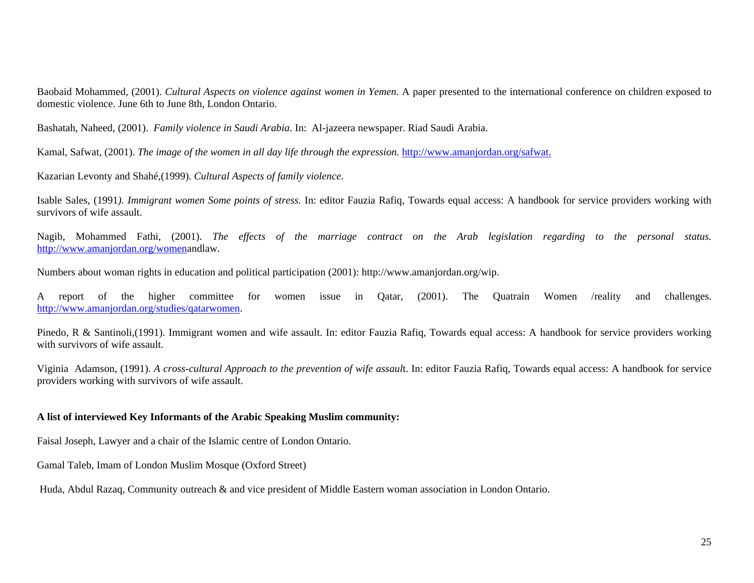Baobaid Mohammed, (2001). *Cultural Aspects on violence against women in Yemen.* A paper presented to the international conference on children exposed to domestic violence. June 6th to June 8th, London Ontario.

Bashatah, Naheed, (2001). *Family violence in Saudi Arabia*. In: Al-jazeera newspaper. Riad Saudi Arabia.

Kamal, Safwat, (2001). *The image of the women in all day life through the expression.* http://www.amanjordan.org/safwat.

Kazarian Levonty and Shahé,(1999). *Cultural Aspects of family violence*.

Isable Sales, (1991*). Immigrant women Some points of stress.* In: editor Fauzia Rafiq, Towards equal access: A handbook for service providers working with survivors of wife assault.

Nagib, Mohammed Fathi, (2001). *The effects of the marriage contract on the Arab legislation regarding to the personal status.* http://www.amanjordan.org/womenandlaw.

Numbers about woman rights in education and political participation (2001): http://www.amanjordan.org/wip.

A report of the higher committee for women issue in Qatar, (2001). The Quatrain Women /reality and challenges. http://www.amanjordan.org/studies/qatarwomen.

Pinedo, R & Santinoli,(1991). Immigrant women and wife assault. In: editor Fauzia Rafiq, Towards equal access: A handbook for service providers working with survivors of wife assault.

Viginia Adamson, (1991). *A cross-cultural Approach to the prevention of wife assaul*t. In: editor Fauzia Rafiq, Towards equal access: A handbook for service providers working with survivors of wife assault.

## **A list of interviewed Key Informants of the Arabic Speaking Muslim community:**

Faisal Joseph, Lawyer and a chair of the Islamic centre of London Ontario.

Gamal Taleb, Imam of London Muslim Mosque (Oxford Street)

Huda, Abdul Razaq, Community outreach & and vice president of Middle Eastern woman association in London Ontario.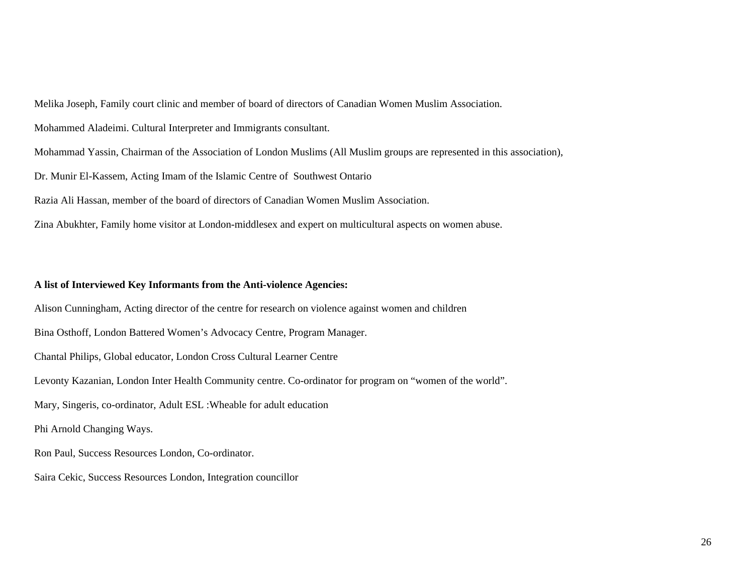Melika Joseph, Family court clinic and member of board of directors of Canadian Women Muslim Association.

Mohammed Aladeimi. Cultural Interpreter and Immigrants consultant.

Mohammad Yassin, Chairman of the Association of London Muslims (All Muslim groups are represented in this association),

Dr. Munir El-Kassem, Acting Imam of the Islamic Centre of Southwest Ontario

Razia Ali Hassan, member of the board of directors of Canadian Women Muslim Association.

Zina Abukhter, Family home visitor at London-middlesex and expert on multicultural aspects on women abuse.

# **A list of Interviewed Key Informants from the Anti-violence Agencies:**

Alison Cunningham, Acting director of the centre for research on violence against women and children Bina Osthoff, London Battered Women's Advocacy Centre, Program Manager. Chantal Philips, Global educator, London Cross Cultural Learner Centre Levonty Kazanian, London Inter Health Community centre. Co-ordinator for program on "women of the world". Mary, Singeris, co-ordinator, Adult ESL :Wheable for adult education Phi Arnold Changing Ways. Ron Paul, Success Resources London, Co-ordinator. Saira Cekic, Success Resources London, Integration councillor